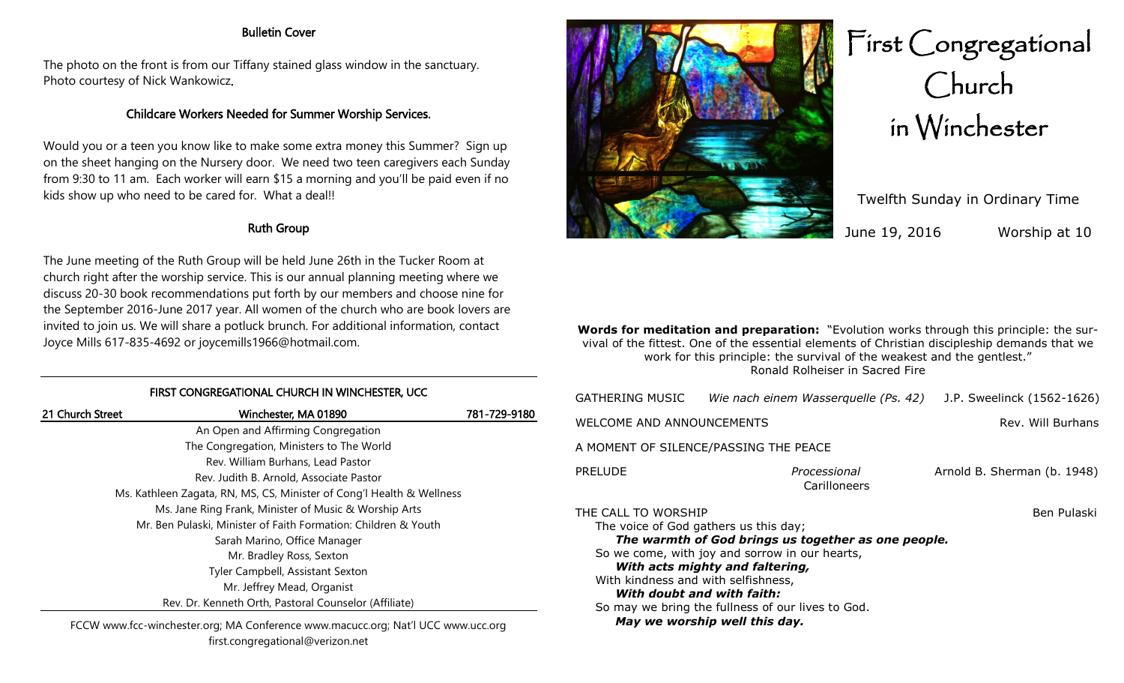#### Bulletin Cover

The photo on the front is from our Tiffany stained glass window in the sanctuary. Photo courtesy of Nick Wankowicz.

# Childcare Workers Needed for Summer Worship Services.

Would you or a teen you know like to make some extra money this Summer? Sign up on the sheet hanging on the Nursery door. We need two teen caregivers each Sunday from 9:30 to 11 am. Each worker will earn \$15 a morning and you'll be paid even if no kids show up who need to be cared for. What a deal!!

## Ruth Group

The June meeting of the Ruth Group will be held June 26th in the Tucker Room at church right after the worship service. This is our annual planning meeting where we discuss 20-30 book recommendations put forth by our members and choose nine for the September 2016-June 2017 year. All women of the church who are book lovers are invited to join us. We will share a potluck brunch. For additional information, contact Joyce Mills 617-835-4692 or joycemills1966@hotmail.com.

### FIRST CONGREGATIONAL CHURCH IN WINCHESTER, UCC

| 21 Church Street | Winchester, MA 01890                                                  | 781-729-9180 |
|------------------|-----------------------------------------------------------------------|--------------|
|                  | An Open and Affirming Congregation                                    |              |
|                  | The Congregation, Ministers to The World                              |              |
|                  | Rev. William Burhans, Lead Pastor                                     |              |
|                  | Rev. Judith B. Arnold, Associate Pastor                               |              |
|                  | Ms. Kathleen Zagata, RN, MS, CS, Minister of Cong'l Health & Wellness |              |
|                  | Ms. Jane Ring Frank, Minister of Music & Worship Arts                 |              |
|                  | Mr. Ben Pulaski, Minister of Faith Formation: Children & Youth        |              |
|                  | Sarah Marino, Office Manager                                          |              |
|                  | Mr. Bradley Ross, Sexton                                              |              |
|                  | Tyler Campbell, Assistant Sexton                                      |              |
|                  | Mr. Jeffrey Mead, Organist                                            |              |
|                  | Rev. Dr. Kenneth Orth, Pastoral Counselor (Affiliate)                 |              |
|                  |                                                                       |              |

FCCW www.fcc-winchester.org; MA Conference www.macucc.org; Nat'l UCC www.ucc.org first.congregational@verizon.net



# First Congregational Church in Winchester

Twelfth Sunday in Ordinary Time June 19, 2016 Worship at 10

**Words for meditation and preparation:** "Evolution works through this principle: the survival of the fittest. One of the essential elements of Christian discipleship demands that we work for this principle: the survival of the weakest and the gentlest." Ronald Rolheiser in Sacred Fire

| GATHERING MUSIC                                                                                                                                                                                                                                                                                                                    | Wie nach einem Wasserquelle (Ps. 42) | J.P. Sweelinck (1562-1626)  |
|------------------------------------------------------------------------------------------------------------------------------------------------------------------------------------------------------------------------------------------------------------------------------------------------------------------------------------|--------------------------------------|-----------------------------|
| WELCOME AND ANNOUNCEMENTS                                                                                                                                                                                                                                                                                                          |                                      | Rev. Will Burhans           |
| A MOMENT OF SILENCE/PASSING THE PEACE                                                                                                                                                                                                                                                                                              |                                      |                             |
| <b>PRELUDE</b>                                                                                                                                                                                                                                                                                                                     | Processional<br>Carilloneers         | Arnold B. Sherman (b. 1948) |
| THE CALL TO WORSHIP<br>The voice of God gathers us this day;<br>The warmth of God brings us together as one people.<br>So we come, with joy and sorrow in our hearts,<br>With acts mighty and faltering,<br>With kindness and with selfishness,<br>With doubt and with faith:<br>So may we bring the fullness of our lives to God. |                                      | Ben Pulaski                 |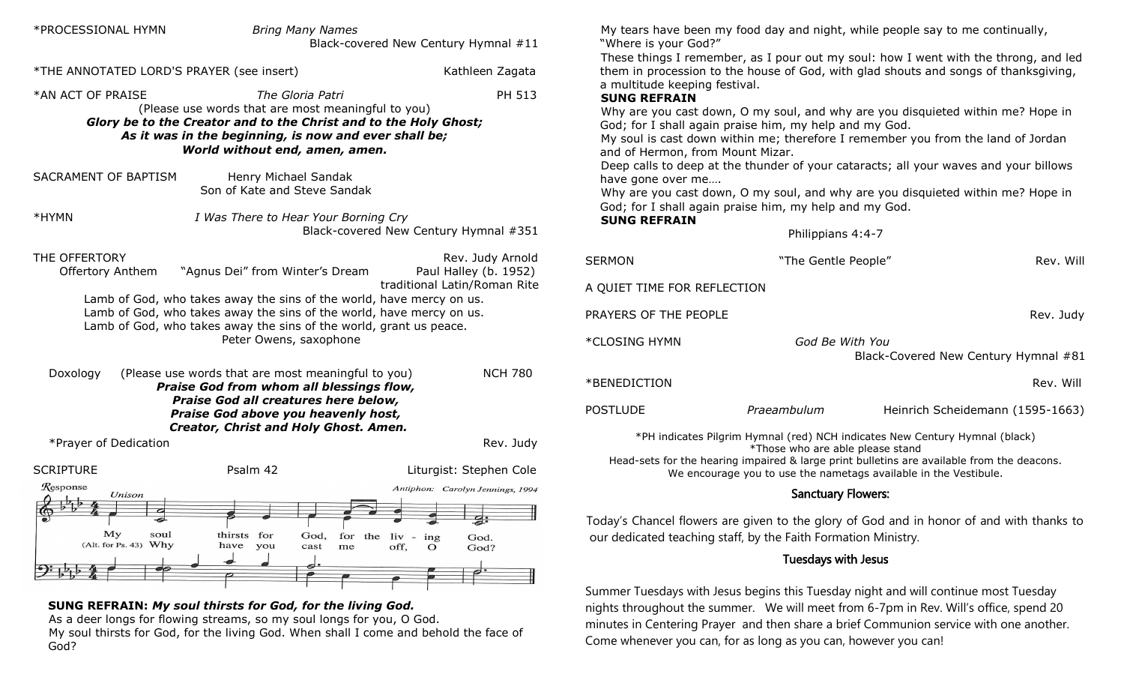| *PROCESSIONAL HYMN                        | <b>Bring Many Names</b>                                                                                                                                                                                                               | Black-covered New Century Hymnal #11                 | My tears have been my food day<br>"Where is your God?"                                                                                                                                          |
|-------------------------------------------|---------------------------------------------------------------------------------------------------------------------------------------------------------------------------------------------------------------------------------------|------------------------------------------------------|-------------------------------------------------------------------------------------------------------------------------------------------------------------------------------------------------|
| *THE ANNOTATED LORD'S PRAYER (see insert) |                                                                                                                                                                                                                                       | Kathleen Zagata                                      | These things I remember, as I p<br>them in procession to the house                                                                                                                              |
| *AN ACT OF PRAISE                         | The Gloria Patri<br>(Please use words that are most meaningful to you)<br>Glory be to the Creator and to the Christ and to the Holy Ghost;<br>As it was in the beginning, is now and ever shall be;<br>World without end, amen, amen. | PH 513                                               | a multitude keeping festival.<br><b>SUNG REFRAIN</b><br>Why are you cast down, O my s<br>God; for I shall again praise him<br>My soul is cast down within me;<br>and of Hermon, from Mount Miza |
| SACRAMENT OF BAPTISM                      | Henry Michael Sandak<br>Son of Kate and Steve Sandak                                                                                                                                                                                  |                                                      | Deep calls to deep at the thunde<br>have gone over me<br>Why are you cast down, O my s                                                                                                          |
| *HYMN                                     | I Was There to Hear Your Borning Cry                                                                                                                                                                                                  | Black-covered New Century Hymnal #351                | God; for I shall again praise him<br><b>SUNG REFRAIN</b>                                                                                                                                        |
| THE OFFERTORY<br><b>Offertory Anthem</b>  | "Agnus Dei" from Winter's Dream                                                                                                                                                                                                       | Rev. Judy Arnold<br>Paul Halley (b. 1952)            | <b>SERMON</b>                                                                                                                                                                                   |
|                                           |                                                                                                                                                                                                                                       | traditional Latin/Roman Rite                         | A QUIET TIME FOR REFLECTION                                                                                                                                                                     |
|                                           | Lamb of God, who takes away the sins of the world, have mercy on us.<br>Lamb of God, who takes away the sins of the world, have mercy on us.<br>Lamb of God, who takes away the sins of the world, grant us peace.                    |                                                      | PRAYERS OF THE PEOPLE                                                                                                                                                                           |
|                                           | Peter Owens, saxophone                                                                                                                                                                                                                |                                                      | *CLOSING HYMN                                                                                                                                                                                   |
| Doxology                                  | (Please use words that are most meaningful to you)<br>Praise God from whom all blessings flow,                                                                                                                                        | <b>NCH 780</b>                                       | *BENEDICTION                                                                                                                                                                                    |
|                                           | Praise God all creatures here below,<br>Praise God above you heavenly host,                                                                                                                                                           |                                                      | <b>POSTLUDE</b><br>Praeal                                                                                                                                                                       |
| *Prayer of Dedication                     | Creator, Christ and Holy Ghost. Amen.                                                                                                                                                                                                 | Rev. Judy                                            | *PH indicates Pilgrim Hymna<br>*Thos                                                                                                                                                            |
| <b>SCRIPTURE</b>                          | Psalm 42                                                                                                                                                                                                                              | Liturgist: Stephen Cole                              | Head-sets for the hearing impaire<br>We encourage you to u                                                                                                                                      |
| Response<br>Unison                        |                                                                                                                                                                                                                                       | Antiphon: Carolyn Jennings, 1994                     |                                                                                                                                                                                                 |
| $\bullet$                                 |                                                                                                                                                                                                                                       | g:                                                   | Today's Chancel flowers are given t                                                                                                                                                             |
| My<br>soul<br>(Alt. for Ps. 43) Why       | thirsts for<br>God,<br>have you<br>cast<br>me                                                                                                                                                                                         | for the liv - ing<br>God.<br>off,<br>$\circ$<br>God? | our dedicated teaching staff, by the                                                                                                                                                            |
|                                           | ℴ                                                                                                                                                                                                                                     |                                                      |                                                                                                                                                                                                 |
|                                           |                                                                                                                                                                                                                                       |                                                      | Summer Tuesdays with Jesus begins                                                                                                                                                               |

#### **SUNG REFRAIN:** *My soul thirsts for God, for the living God.*

As a deer longs for flowing streams, so my soul longs for you, O God. My soul thirsts for God, for the living God. When shall I come and behold the face of God?

y and night, while people say to me continually,

Your out my soul: how I went with the throng, and led of God, with glad shouts and songs of thanksgiving,

soul, and why are you disquieted within me? Hope in I, my help and my God.

therefore I remember you from the land of Jordan and of Hermon, from Mount Mizar.

er of your cataracts; all your waves and your billows

soul, and why are you disquieted within me? Hope in I, my help and my God.

Philippians 4:4-7

| SERMON                      | "The Gentle People"              | Rev. Will                                                                                                                                                                                                                                     |
|-----------------------------|----------------------------------|-----------------------------------------------------------------------------------------------------------------------------------------------------------------------------------------------------------------------------------------------|
| A QUIET TIME FOR REFLECTION |                                  |                                                                                                                                                                                                                                               |
| PRAYERS OF THE PEOPLE       |                                  | Rev. Judy                                                                                                                                                                                                                                     |
| *CLOSING HYMN               | God Be With You                  | Black-Covered New Century Hymnal #81                                                                                                                                                                                                          |
| *BENEDICTION                |                                  | Rev. Will                                                                                                                                                                                                                                     |
| <b>POSTLUDE</b>             | Praeambulum                      | Heinrich Scheidemann (1595-1663)                                                                                                                                                                                                              |
|                             | *Those who are able please stand | *PH indicates Pilgrim Hymnal (red) NCH indicates New Century Hymnal (black)<br>Head-sets for the hearing impaired & large print bulletins are available from the deacons.<br>We encourage you to use the nametags available in the Vestibule. |

## Sanctuary Flowers:

to the glory of God and in honor of and with thanks to Faith Formation Ministry.

## Tuesdays with Jesus

this Tuesday night and will continue most Tuesday nights throughout the summer. We will meet from 6-7pm in Rev. Will's office, spend 20 minutes in Centering Prayer and then share a brief Communion service with one another. Come whenever you can, for as long as you can, however you can!